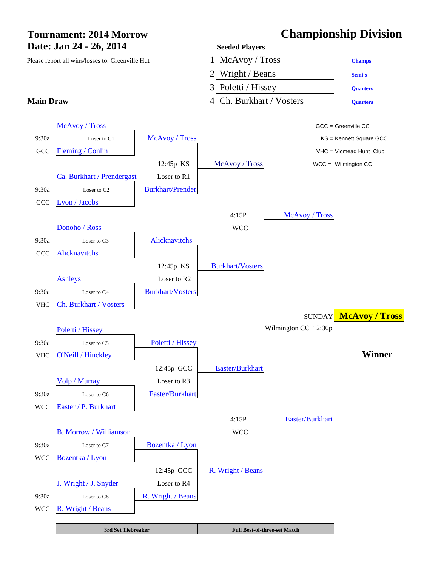# **Date: Jan 24 - 26, 2014 Seeded Players**

## **Tournament: 2014 Morrow Championship Division**



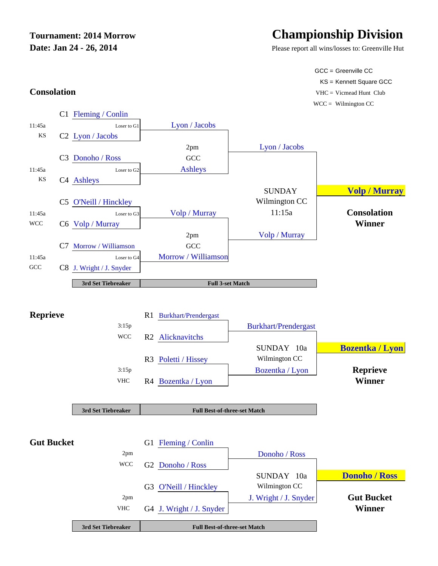# **Date: Jan 24 - 26, 2014** Please report all wins/losses to: Greenville Hut

# **Tournament: 2014 Morrow Championship Division**

SUNDAY 10a **Donoho / Ross** 

GCC = Greenville CC KS = Kennett Square GCC **Consolation** VHC = Vicmead Hunt Club  $WCC =$  Wilmington  $CC$ 

C1 Fleming / Conlin 11:45a Loser to G1 Lyon / Jacobs KS C2 Lyon / Jacobs 2pm Lyon / Jacobs C3 Donoho / Ross GCC 11:45a Loser to G2 Ashleys KS C4 Ashleys **SUNDAY Volp / Murray** C5 O'Neill / Hinckley Wilmington CC 11:45a Loser to G3 Volp / Murray 11:15a Consolation WCC C6 Volp / Murray **Winner Winner** 2pm Volp / Murray C7 Morrow / Williamson GCC 11:45a Loser to G4 Morrow / Williamson GCC C8 J. Wright / J. Snyder **3rd Set Tiebreaker Reprieve** R1 Burkhart/Prendergast 3:15p Burkhart/Prendergast WCC R2 Alicknavitchs SUNDAY 10a **Bozentka / Lyon** R3 Poletti / Hissey Wilmington CC 3:15p Bozentka / Lyon **Reprieve** VHC R4 Bozentka / Lyon **Winner 3rd Set Tiebreaker** Gut Bucket G1 Fleming / Conlin 2pm Donoho / Ross **Full 3-set Match Full Best-of-three-set Match**



G3 O'Neill / Hinckley Wilmington CC

2pm J. Wright / J. Snyder **Gut Bucket**

WCC G2 Donoho / Ross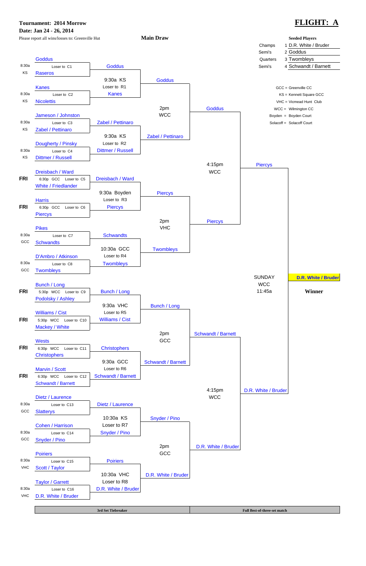**Tournament: 2014 Morrow FLIGHT: A**

### **Date: Jan 24 - 26, 2014** Please report all wins/losses to: Greenville Hut **Main Draw Main Allection Seeded Players** Champs 1 D.R. White / Bruder Semi's 2 Goddus Goddus **Goddus Goddus Goddus Goddus Goddus Goddus Goddus Goddus Goddus Goddus Goddus Goddus Goddus Goddus Goddus Goddus Goddus Goddus Goddus Goddus Goddus Goddus Goddus Goddus** 8:30a Loser to C1 **Goddus Goddus Goddus Semi's** 4 Schwandt / Barnett KS Raseros 9:30a KS | Goddus Kanes Contract Loser to R1 Contract Loser to R1 Contract Lose and Loser to R1 Contract Lose and GCC = Greenville CC 8:30a Loser to C2 Kanes Kanes Kanes Kanes KS = Kennett Square GCC KS Nicolettis **Nicolettis Nicolettis Nicolettis Nicolettis Nicolettis Nicolettis Nicolettis Nicolettis Nicolettis Nicolettis Nicolettis Nicolettis Nicolettis Nicolettis Nicolettis Nicolettis** 2pm Goddus WCC = Wilmington CC Jameson / Johnston **Boyden Court COUPS And Account** WCC Research Court Research Court Boyden = Boyden Court 8:30a Loser to C3 **Zabel / Pettinaro National Solacoff = Solacoff = Solacoff Court Solacoff Example 2** Solacoff Court KS Zabel / Pettinaro 9:30a KS | Zabel / Pettinaro Dougherty / Pinsky Loser to R2 8:30a Loser to C4 Dittmer / Russell KS Dittmer / Russell 4:15pm Piercys Dreisbach / Ward WCC weight and the state of the state was a state was a state was a state was a state was a state was a state was a state was a state was a state was a state was a state was a state was a state was a state **FRI** 6:30p GCC Loser to C5 Dreisbach / Ward White / Friedlander 9:30a Boyden Piercys Harris Loser to R3 **FRI** 6:30p GCC Loser to C6 **Piercys** Piercys 2pm | Piercys Pikes VHC 8:30a Loser to C7 Schwandts GCC Schwandts 10:30a GCC | Twombleys D'Ambro / Atkinson Loser to R4 8:30a Loser to C8 | Twombleys GCC Twombleys SUNDAY **D.R. White / Bruder** Bunch / Long WCC **FRI** 5:30p WCC Loser to C9 **Bunch / Long 11:45a** 11:45a **Winner** Podolsky / Ashley 9:30a VHC | Bunch / Long Williams / Cist Loser to R5 **FRI** 5:30p WCC Loser to C10 Williams / Cist Mackey / White 2pm Schwandt / Barnett Wests **Example 2018** Section 2018 12:30 Section 2018 12:30 Section 2018 12:30 Section 2018 12:30 Section 2018 12:30 **FRI** 6:30p WCC Loser to C11 Christophers **Christophers** 9:30a GCC | Schwandt / Barnett Marvin / Scott Loser to R6 **FRI** 6:30p WCC Loser to C12 Schwandt / Barnett

Schwandt / Barnett

8:30a Loser to C13 Dietz / Laurence

4:15pm D.R. White / Bruder

Dietz / Laurence WCC

**3rd Set Tiebreaker Full Best-of-three-set match** 

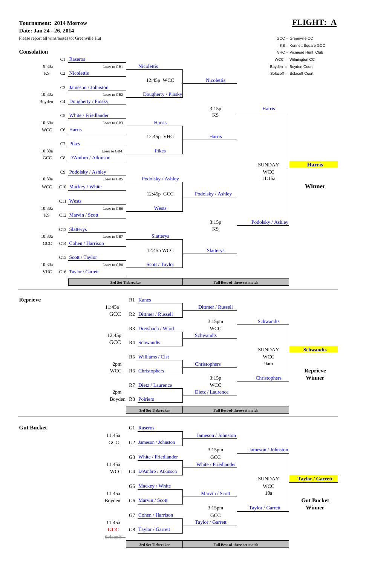### **Tournament: 2014 Morrow FLIGHT: A**

**Date: Jan 24 - 26, 2014**

Please report all wins/losses to: Greenville Hut GCC = Greenville CC = Greenville CC





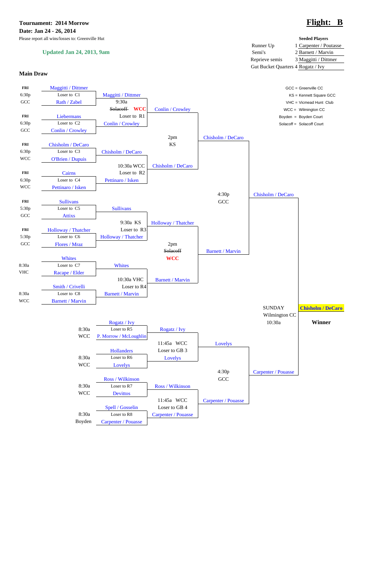**Tournament: 2014 Morrow Flight: B Date: Jan 24 - 26, 2014**

Please report all wins/losses to: Greenville Hut **Seeded Players**

### **Updated Jan 24, 2013, 9am**

|                                    | Seeded Flayers         |
|------------------------------------|------------------------|
| Runner Up                          | 1 Carpenter / Poutasse |
| Semi's                             | 2 Barnett / Marvin     |
| Reprieve semis                     | 3 Maggitti / Dittmer   |
| Gut Bucket Quarters 4 Rogatz / Ivy |                        |

### **Main Draw**



Boyden Carpenter / Pouasse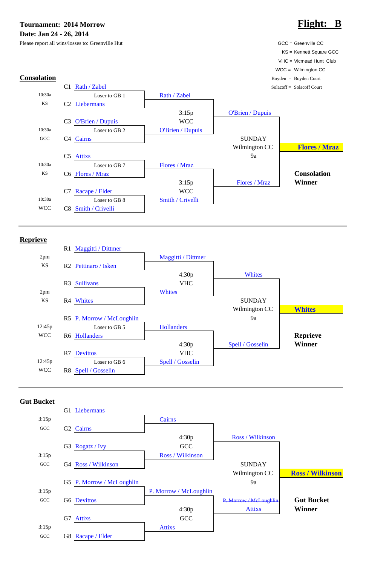**Tournament: 2014 Morrow Flight: B Date: Jan 24 - 26, 2014**

Please report all wins/losses to: Greenville Hut GCC = Greenville CC Greenville CC



### **Reprieve**



### **Gut Bucket**

G1 Liebermans